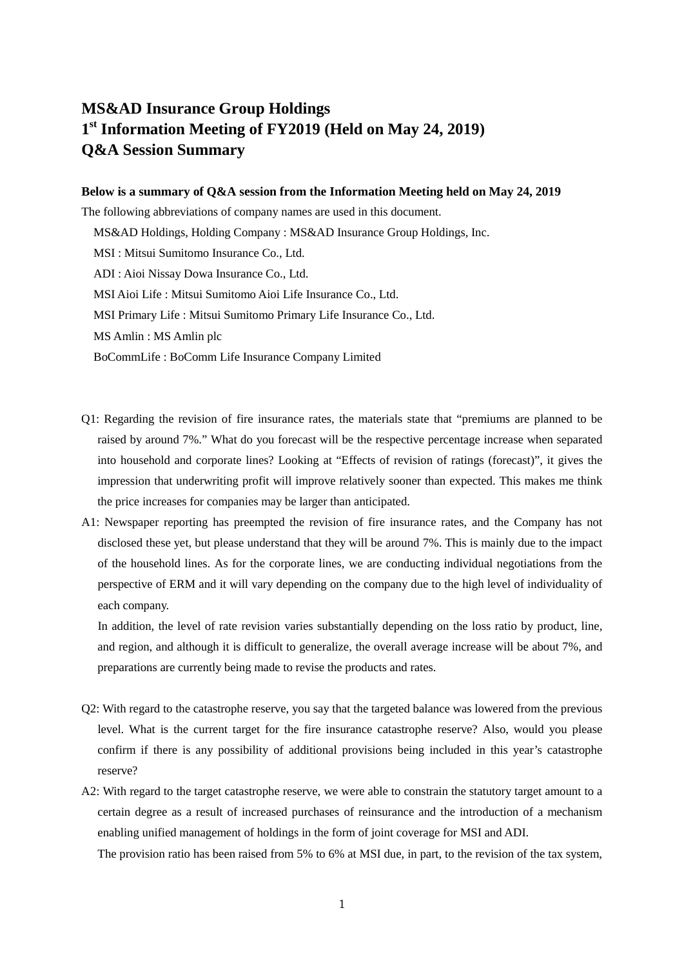## **MS&AD Insurance Group Holdings 1st Information Meeting of FY2019 (Held on May 24, 2019) Q&A Session Summary**

## **Below is a summary of Q&A session from the Information Meeting held on May 24, 2019**

The following abbreviations of company names are used in this document.

MS&AD Holdings, Holding Company : MS&AD Insurance Group Holdings, Inc.

MSI : Mitsui Sumitomo Insurance Co., Ltd.

ADI : Aioi Nissay Dowa Insurance Co., Ltd.

MSI Aioi Life : Mitsui Sumitomo Aioi Life Insurance Co., Ltd.

MSI Primary Life : Mitsui Sumitomo Primary Life Insurance Co., Ltd.

MS Amlin : MS Amlin plc

BoCommLife : BoComm Life Insurance Company Limited

- Q1: Regarding the revision of fire insurance rates, the materials state that "premiums are planned to be raised by around 7%." What do you forecast will be the respective percentage increase when separated into household and corporate lines? Looking at "Effects of revision of ratings (forecast)", it gives the impression that underwriting profit will improve relatively sooner than expected. This makes me think the price increases for companies may be larger than anticipated.
- A1: Newspaper reporting has preempted the revision of fire insurance rates, and the Company has not disclosed these yet, but please understand that they will be around 7%. This is mainly due to the impact of the household lines. As for the corporate lines, we are conducting individual negotiations from the perspective of ERM and it will vary depending on the company due to the high level of individuality of each company.

In addition, the level of rate revision varies substantially depending on the loss ratio by product, line, and region, and although it is difficult to generalize, the overall average increase will be about 7%, and preparations are currently being made to revise the products and rates.

- Q2: With regard to the catastrophe reserve, you say that the targeted balance was lowered from the previous level. What is the current target for the fire insurance catastrophe reserve? Also, would you please confirm if there is any possibility of additional provisions being included in this year's catastrophe reserve?
- A2: With regard to the target catastrophe reserve, we were able to constrain the statutory target amount to a certain degree as a result of increased purchases of reinsurance and the introduction of a mechanism enabling unified management of holdings in the form of joint coverage for MSI and ADI.

The provision ratio has been raised from 5% to 6% at MSI due, in part, to the revision of the tax system,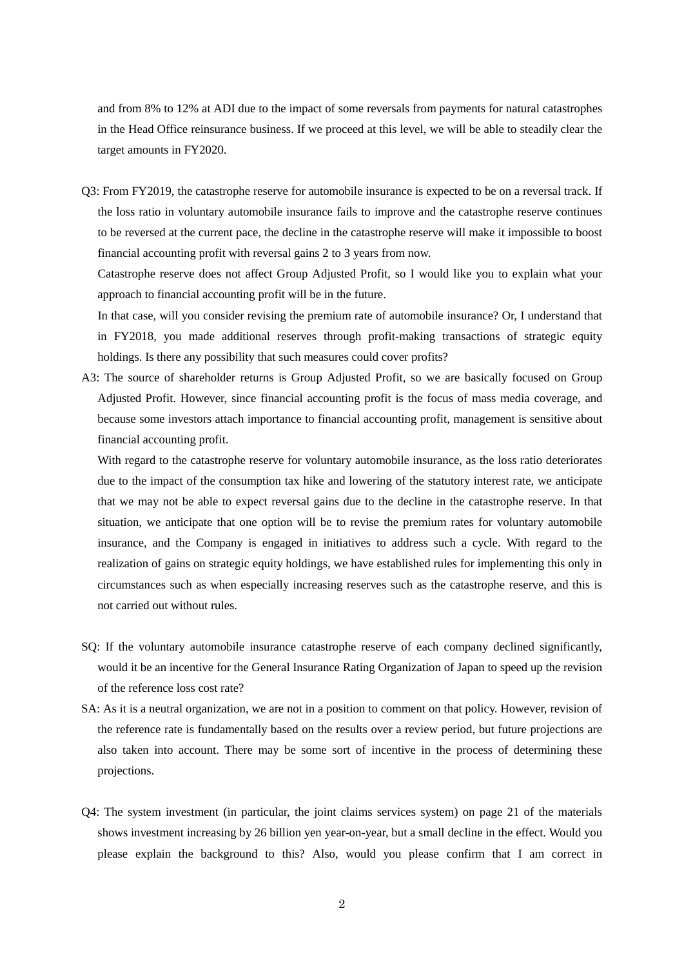and from 8% to 12% at ADI due to the impact of some reversals from payments for natural catastrophes in the Head Office reinsurance business. If we proceed at this level, we will be able to steadily clear the target amounts in FY2020.

Q3: From FY2019, the catastrophe reserve for automobile insurance is expected to be on a reversal track. If the loss ratio in voluntary automobile insurance fails to improve and the catastrophe reserve continues to be reversed at the current pace, the decline in the catastrophe reserve will make it impossible to boost financial accounting profit with reversal gains 2 to 3 years from now.

Catastrophe reserve does not affect Group Adjusted Profit, so I would like you to explain what your approach to financial accounting profit will be in the future.

In that case, will you consider revising the premium rate of automobile insurance? Or, I understand that in FY2018, you made additional reserves through profit-making transactions of strategic equity holdings. Is there any possibility that such measures could cover profits?

A3: The source of shareholder returns is Group Adjusted Profit, so we are basically focused on Group Adjusted Profit. However, since financial accounting profit is the focus of mass media coverage, and because some investors attach importance to financial accounting profit, management is sensitive about financial accounting profit.

With regard to the catastrophe reserve for voluntary automobile insurance, as the loss ratio deteriorates due to the impact of the consumption tax hike and lowering of the statutory interest rate, we anticipate that we may not be able to expect reversal gains due to the decline in the catastrophe reserve. In that situation, we anticipate that one option will be to revise the premium rates for voluntary automobile insurance, and the Company is engaged in initiatives to address such a cycle. With regard to the realization of gains on strategic equity holdings, we have established rules for implementing this only in circumstances such as when especially increasing reserves such as the catastrophe reserve, and this is not carried out without rules.

- SQ: If the voluntary automobile insurance catastrophe reserve of each company declined significantly, would it be an incentive for the General Insurance Rating Organization of Japan to speed up the revision of the reference loss cost rate?
- SA: As it is a neutral organization, we are not in a position to comment on that policy. However, revision of the reference rate is fundamentally based on the results over a review period, but future projections are also taken into account. There may be some sort of incentive in the process of determining these projections.
- Q4: The system investment (in particular, the joint claims services system) on page 21 of the materials shows investment increasing by 26 billion yen year-on-year, but a small decline in the effect. Would you please explain the background to this? Also, would you please confirm that I am correct in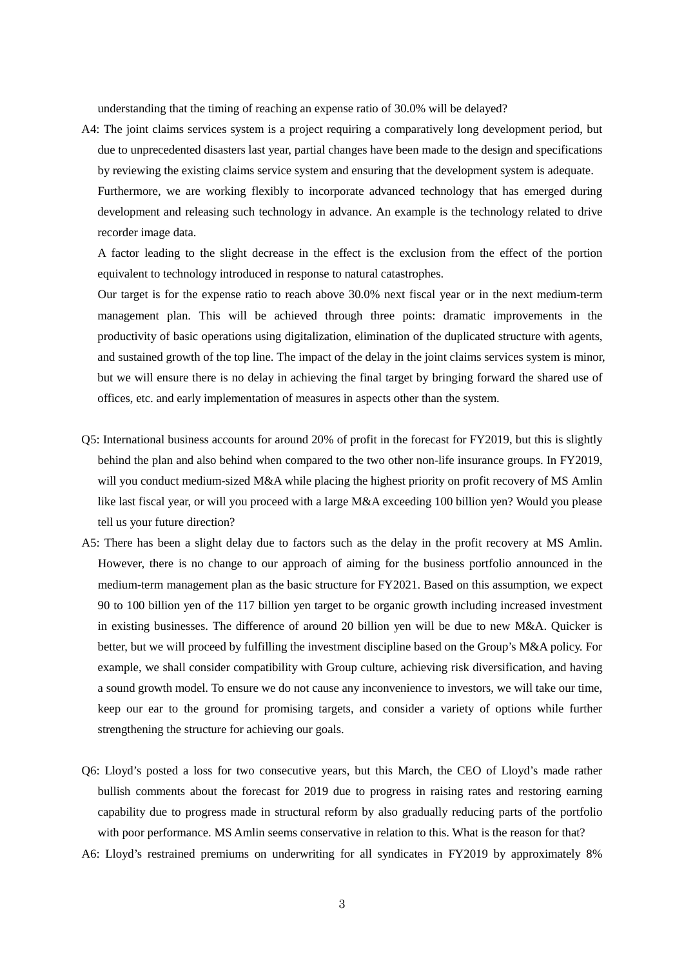understanding that the timing of reaching an expense ratio of 30.0% will be delayed?

A4: The joint claims services system is a project requiring a comparatively long development period, but due to unprecedented disasters last year, partial changes have been made to the design and specifications by reviewing the existing claims service system and ensuring that the development system is adequate. Furthermore, we are working flexibly to incorporate advanced technology that has emerged during development and releasing such technology in advance. An example is the technology related to drive recorder image data.

A factor leading to the slight decrease in the effect is the exclusion from the effect of the portion equivalent to technology introduced in response to natural catastrophes.

Our target is for the expense ratio to reach above 30.0% next fiscal year or in the next medium-term management plan. This will be achieved through three points: dramatic improvements in the productivity of basic operations using digitalization, elimination of the duplicated structure with agents, and sustained growth of the top line. The impact of the delay in the joint claims services system is minor, but we will ensure there is no delay in achieving the final target by bringing forward the shared use of offices, etc. and early implementation of measures in aspects other than the system.

- Q5: International business accounts for around 20% of profit in the forecast for FY2019, but this is slightly behind the plan and also behind when compared to the two other non-life insurance groups. In FY2019, will you conduct medium-sized M&A while placing the highest priority on profit recovery of MS Amlin like last fiscal year, or will you proceed with a large M&A exceeding 100 billion yen? Would you please tell us your future direction?
- A5: There has been a slight delay due to factors such as the delay in the profit recovery at MS Amlin. However, there is no change to our approach of aiming for the business portfolio announced in the medium-term management plan as the basic structure for FY2021. Based on this assumption, we expect 90 to 100 billion yen of the 117 billion yen target to be organic growth including increased investment in existing businesses. The difference of around 20 billion yen will be due to new M&A. Quicker is better, but we will proceed by fulfilling the investment discipline based on the Group's M&A policy. For example, we shall consider compatibility with Group culture, achieving risk diversification, and having a sound growth model. To ensure we do not cause any inconvenience to investors, we will take our time, keep our ear to the ground for promising targets, and consider a variety of options while further strengthening the structure for achieving our goals.
- Q6: Lloyd's posted a loss for two consecutive years, but this March, the CEO of Lloyd's made rather bullish comments about the forecast for 2019 due to progress in raising rates and restoring earning capability due to progress made in structural reform by also gradually reducing parts of the portfolio with poor performance. MS Amlin seems conservative in relation to this. What is the reason for that?
- A6: Lloyd's restrained premiums on underwriting for all syndicates in FY2019 by approximately 8%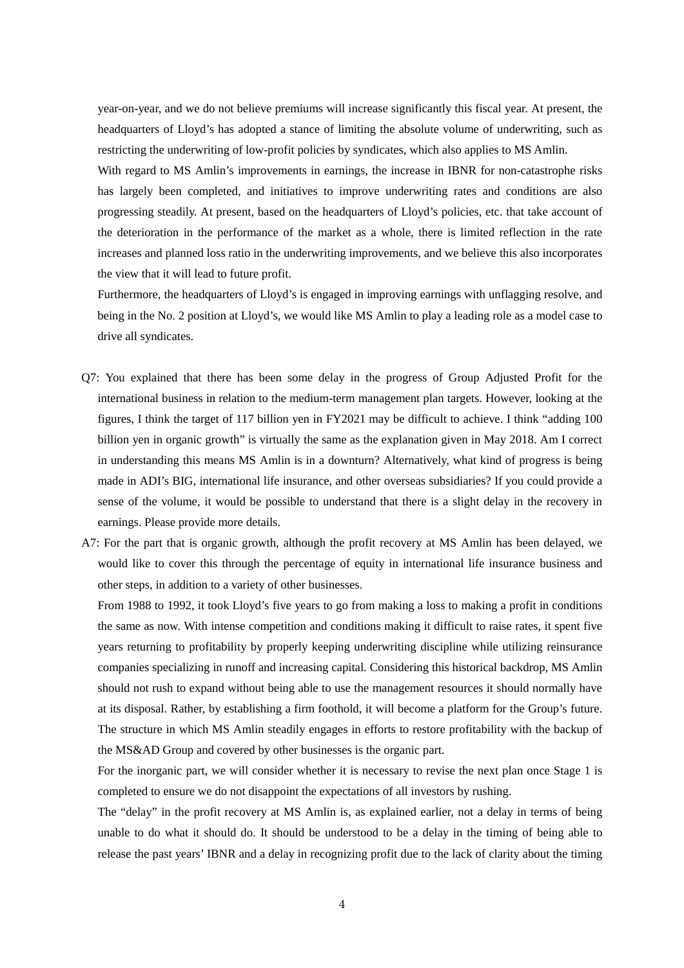year-on-year, and we do not believe premiums will increase significantly this fiscal year. At present, the headquarters of Lloyd's has adopted a stance of limiting the absolute volume of underwriting, such as restricting the underwriting of low-profit policies by syndicates, which also applies to MS Amlin.

With regard to MS Amlin's improvements in earnings, the increase in IBNR for non-catastrophe risks has largely been completed, and initiatives to improve underwriting rates and conditions are also progressing steadily. At present, based on the headquarters of Lloyd's policies, etc. that take account of the deterioration in the performance of the market as a whole, there is limited reflection in the rate increases and planned loss ratio in the underwriting improvements, and we believe this also incorporates the view that it will lead to future profit.

Furthermore, the headquarters of Lloyd's is engaged in improving earnings with unflagging resolve, and being in the No. 2 position at Lloyd's, we would like MS Amlin to play a leading role as a model case to drive all syndicates.

- Q7: You explained that there has been some delay in the progress of Group Adjusted Profit for the international business in relation to the medium-term management plan targets. However, looking at the figures, I think the target of 117 billion yen in FY2021 may be difficult to achieve. I think "adding 100 billion yen in organic growth" is virtually the same as the explanation given in May 2018. Am I correct in understanding this means MS Amlin is in a downturn? Alternatively, what kind of progress is being made in ADI's BIG, international life insurance, and other overseas subsidiaries? If you could provide a sense of the volume, it would be possible to understand that there is a slight delay in the recovery in earnings. Please provide more details.
- A7: For the part that is organic growth, although the profit recovery at MS Amlin has been delayed, we would like to cover this through the percentage of equity in international life insurance business and other steps, in addition to a variety of other businesses.

From 1988 to 1992, it took Lloyd's five years to go from making a loss to making a profit in conditions the same as now. With intense competition and conditions making it difficult to raise rates, it spent five years returning to profitability by properly keeping underwriting discipline while utilizing reinsurance companies specializing in runoff and increasing capital. Considering this historical backdrop, MS Amlin should not rush to expand without being able to use the management resources it should normally have at its disposal. Rather, by establishing a firm foothold, it will become a platform for the Group's future. The structure in which MS Amlin steadily engages in efforts to restore profitability with the backup of the MS&AD Group and covered by other businesses is the organic part.

For the inorganic part, we will consider whether it is necessary to revise the next plan once Stage 1 is completed to ensure we do not disappoint the expectations of all investors by rushing.

The "delay" in the profit recovery at MS Amlin is, as explained earlier, not a delay in terms of being unable to do what it should do. It should be understood to be a delay in the timing of being able to release the past years' IBNR and a delay in recognizing profit due to the lack of clarity about the timing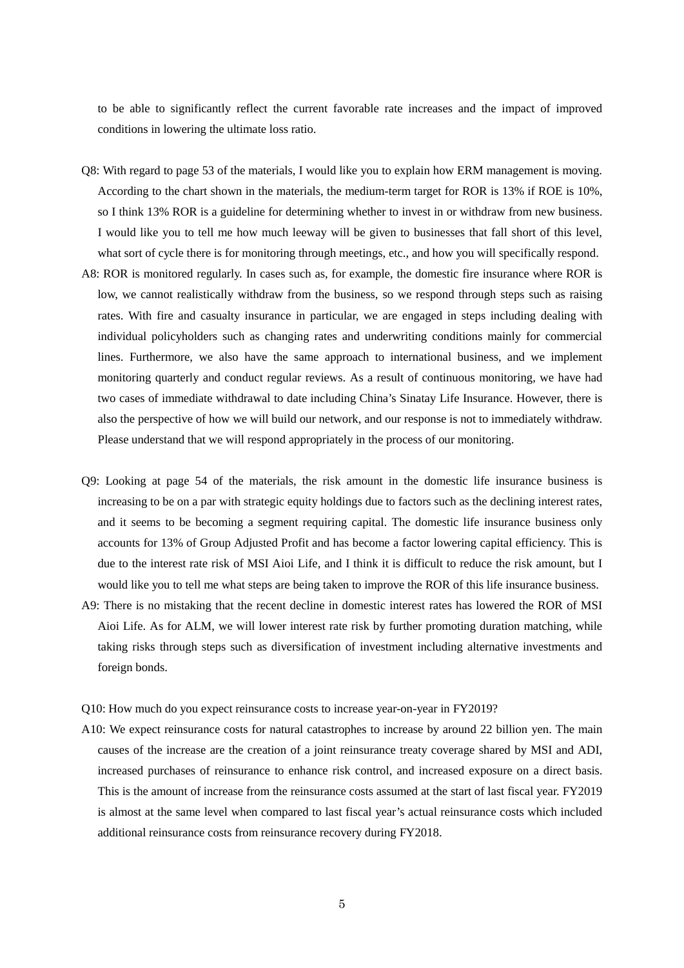to be able to significantly reflect the current favorable rate increases and the impact of improved conditions in lowering the ultimate loss ratio.

- Q8: With regard to page 53 of the materials, I would like you to explain how ERM management is moving. According to the chart shown in the materials, the medium-term target for ROR is 13% if ROE is 10%, so I think 13% ROR is a guideline for determining whether to invest in or withdraw from new business. I would like you to tell me how much leeway will be given to businesses that fall short of this level, what sort of cycle there is for monitoring through meetings, etc., and how you will specifically respond.
- A8: ROR is monitored regularly. In cases such as, for example, the domestic fire insurance where ROR is low, we cannot realistically withdraw from the business, so we respond through steps such as raising rates. With fire and casualty insurance in particular, we are engaged in steps including dealing with individual policyholders such as changing rates and underwriting conditions mainly for commercial lines. Furthermore, we also have the same approach to international business, and we implement monitoring quarterly and conduct regular reviews. As a result of continuous monitoring, we have had two cases of immediate withdrawal to date including China's Sinatay Life Insurance. However, there is also the perspective of how we will build our network, and our response is not to immediately withdraw. Please understand that we will respond appropriately in the process of our monitoring.
- Q9: Looking at page 54 of the materials, the risk amount in the domestic life insurance business is increasing to be on a par with strategic equity holdings due to factors such as the declining interest rates, and it seems to be becoming a segment requiring capital. The domestic life insurance business only accounts for 13% of Group Adjusted Profit and has become a factor lowering capital efficiency. This is due to the interest rate risk of MSI Aioi Life, and I think it is difficult to reduce the risk amount, but I would like you to tell me what steps are being taken to improve the ROR of this life insurance business.
- A9: There is no mistaking that the recent decline in domestic interest rates has lowered the ROR of MSI Aioi Life. As for ALM, we will lower interest rate risk by further promoting duration matching, while taking risks through steps such as diversification of investment including alternative investments and foreign bonds.

Q10: How much do you expect reinsurance costs to increase year-on-year in FY2019?

A10: We expect reinsurance costs for natural catastrophes to increase by around 22 billion yen. The main causes of the increase are the creation of a joint reinsurance treaty coverage shared by MSI and ADI, increased purchases of reinsurance to enhance risk control, and increased exposure on a direct basis. This is the amount of increase from the reinsurance costs assumed at the start of last fiscal year. FY2019 is almost at the same level when compared to last fiscal year's actual reinsurance costs which included additional reinsurance costs from reinsurance recovery during FY2018.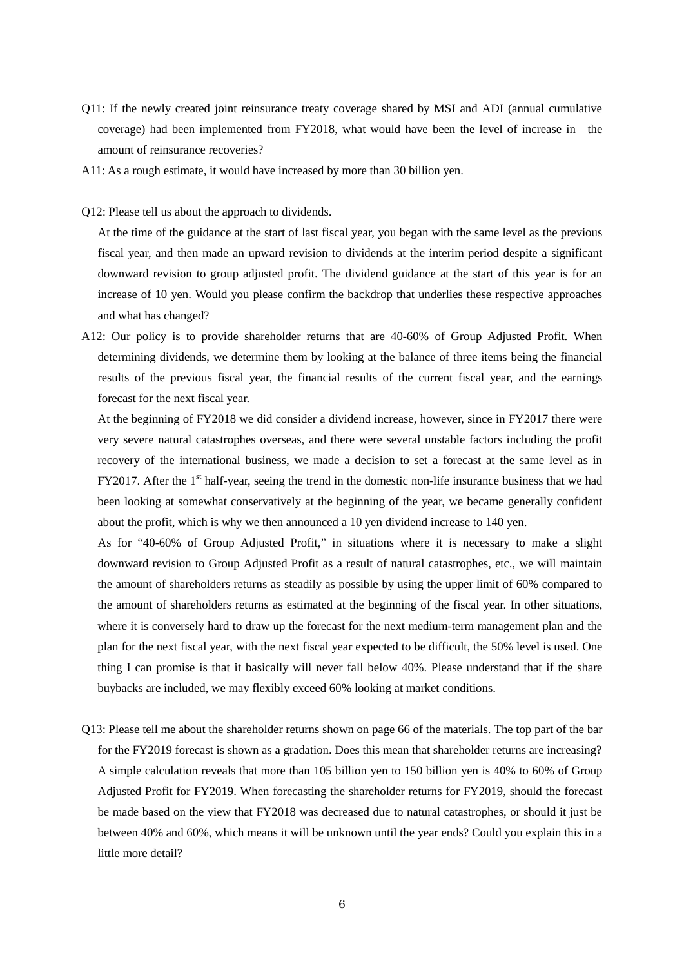- Q11: If the newly created joint reinsurance treaty coverage shared by MSI and ADI (annual cumulative coverage) had been implemented from FY2018, what would have been the level of increase in the amount of reinsurance recoveries?
- A11: As a rough estimate, it would have increased by more than 30 billion yen.
- Q12: Please tell us about the approach to dividends.

At the time of the guidance at the start of last fiscal year, you began with the same level as the previous fiscal year, and then made an upward revision to dividends at the interim period despite a significant downward revision to group adjusted profit. The dividend guidance at the start of this year is for an increase of 10 yen. Would you please confirm the backdrop that underlies these respective approaches and what has changed?

A12: Our policy is to provide shareholder returns that are 40-60% of Group Adjusted Profit. When determining dividends, we determine them by looking at the balance of three items being the financial results of the previous fiscal year, the financial results of the current fiscal year, and the earnings forecast for the next fiscal year.

At the beginning of FY2018 we did consider a dividend increase, however, since in FY2017 there were very severe natural catastrophes overseas, and there were several unstable factors including the profit recovery of the international business, we made a decision to set a forecast at the same level as in FY2017. After the  $1<sup>st</sup>$  half-year, seeing the trend in the domestic non-life insurance business that we had been looking at somewhat conservatively at the beginning of the year, we became generally confident about the profit, which is why we then announced a 10 yen dividend increase to 140 yen.

As for "40-60% of Group Adjusted Profit," in situations where it is necessary to make a slight downward revision to Group Adjusted Profit as a result of natural catastrophes, etc., we will maintain the amount of shareholders returns as steadily as possible by using the upper limit of 60% compared to the amount of shareholders returns as estimated at the beginning of the fiscal year. In other situations, where it is conversely hard to draw up the forecast for the next medium-term management plan and the plan for the next fiscal year, with the next fiscal year expected to be difficult, the 50% level is used. One thing I can promise is that it basically will never fall below 40%. Please understand that if the share buybacks are included, we may flexibly exceed 60% looking at market conditions.

Q13: Please tell me about the shareholder returns shown on page 66 of the materials. The top part of the bar for the FY2019 forecast is shown as a gradation. Does this mean that shareholder returns are increasing? A simple calculation reveals that more than 105 billion yen to 150 billion yen is 40% to 60% of Group Adjusted Profit for FY2019. When forecasting the shareholder returns for FY2019, should the forecast be made based on the view that FY2018 was decreased due to natural catastrophes, or should it just be between 40% and 60%, which means it will be unknown until the year ends? Could you explain this in a little more detail?